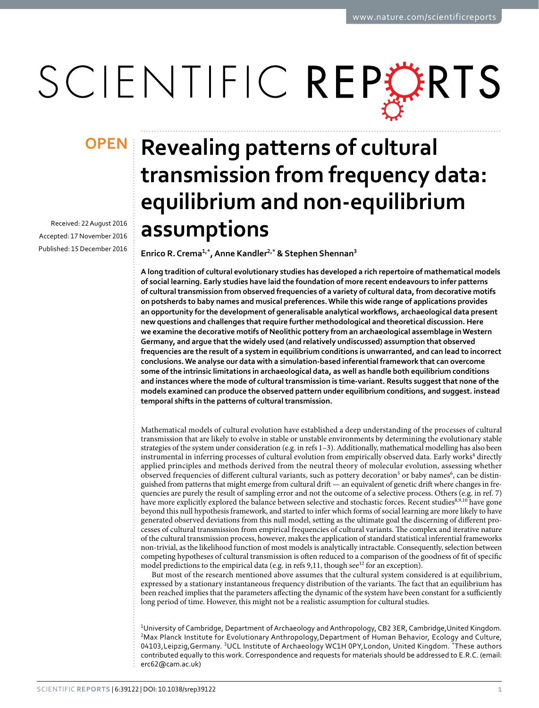# SCIENTIFIC REPERTS

Received: 22 August 2016 accepted: 17 November 2016 Published: 15 December 2016

## **OPEN** Revealing patterns of cultural **transmission from frequency data: equilibrium and non-equilibrium assumptions**

**Enrico R. Crema<sup>1</sup>,\*, Anne Kandler<sup>2</sup>,\* & Stephen Shennan<sup>3</sup>**

**A long tradition of cultural evolutionary studies has developed a rich repertoire of mathematical models of social learning. Early studies have laid the foundation of more recent endeavours to infer patterns of cultural transmission from observed frequencies of a variety of cultural data, from decorative motifs on potsherds to baby names and musical preferences. While this wide range of applications provides an opportunity for the development of generalisable analytical workflows, archaeological data present new questions and challenges that require further methodological and theoretical discussion. Here we examine the decorative motifs of Neolithic pottery from an archaeological assemblage in Western Germany, and argue that the widely used (and relatively undiscussed) assumption that observed frequencies are the result of a system in equilibrium conditions is unwarranted, and can lead to incorrect conclusions. We analyse our data with a simulation-based inferential framework that can overcome some of the intrinsic limitations in archaeological data, as well as handle both equilibrium conditions and instances where the mode of cultural transmission is time-variant. Results suggest that none of the models examined can produce the observed pattern under equilibrium conditions, and suggest. instead temporal shifts in the patterns of cultural transmission.**

Mathematical models of cultural evolution have established a deep understanding of the processes of cultural transmission that are likely to evolve in stable or unstable environments by determining the evolutionary stable strategies of the system under consideration (e.g. in refs [1–3](#page-8-0)). Additionally, mathematical modelling has also been instrumental in inferring processes of cultural evolution from empirically observed data. Early works<sup>4</sup> directly applied principles and methods derived from the neutral theory of molecular evolution, assessing whether observed frequencies of different cultural variants, such as pottery decoration<sup>5</sup> or baby names<sup>6</sup>, can be distinguished from patterns that might emerge from cultural drift — an equivalent of genetic drift where changes in frequencies are purely the result of sampling error and not the outcome of a selective process. Others (e.g. in ref. [7\)](#page-8-4) have more explicitly explored the balance between selective and stochastic forces. Recent studies[8](#page-8-5),[9,](#page-8-6)[10](#page-8-7) have gone beyond this null hypothesis framework, and started to infer which forms of social learning are more likely to have generated observed deviations from this null model, setting as the ultimate goal the discerning of different processes of cultural transmission from empirical frequencies of cultural variants. The complex and iterative nature of the cultural transmission process, however, makes the application of standard statistical inferential frameworks non-trivial, as the likelihood function of most models is analytically intractable. Consequently, selection between competing hypotheses of cultural transmission is often reduced to a comparison of the goodness of fit of specific model predictions to the empirical data (e.g. in refs [9](#page-8-6)[,11](#page-8-8), though see $^{12}$  $^{12}$  $^{12}$  for an exception).

But most of the research mentioned above assumes that the cultural system considered is at equilibrium, expressed by a stationary instantaneous frequency distribution of the variants. The fact that an equilibrium has been reached implies that the parameters affecting the dynamic of the system have been constant for a sufficiently long period of time. However, this might not be a realistic assumption for cultural studies.

<sup>1</sup>University of Cambridge, Department of Archaeology and Anthropology, CB2 3ER, Cambridge, United Kingdom. <sup>2</sup>Max Planck Institute for Evolutionary Anthropology, Department of Human Behavior, Ecology and Culture, 04103,Leipzig,Germany. 3UCL Institute of Archaeology WC1H 0PY,London, United Kingdom. \*These authors contributed equally to this work. Correspondence and requests for materials should be addressed to E.R.C. (email: [erc62@cam.ac.uk\)](mailto:erc62@cam.ac.uk)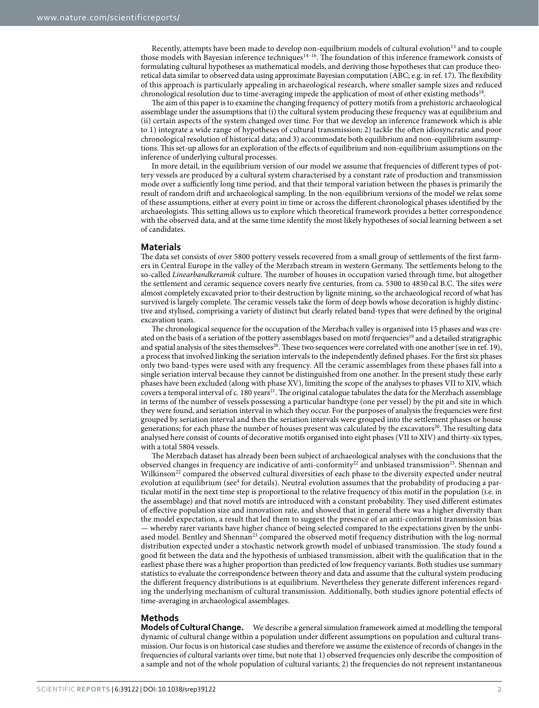Recently, attempts have been made to develop non-equilbrium models of cultural evolution<sup>13</sup> and to couple those models with Bayesian inference techniques<sup>14–16</sup>. The foundation of this inference framework consists of formulating cultural hypotheses as mathematical models, and deriving those hypotheses that can produce theoretical data similar to observed data using approximate Bayesian computation (ABC; e.g. in ref. [17](#page-8-12)). The flexibility of this approach is particularly appealing in archaeological research, where smaller sample sizes and reduced chronological resolution due to time-averaging impede the application of most of other existing methods<sup>18</sup>.

The aim of this paper is to examine the changing frequency of pottery motifs from a prehistoric archaeological assemblage under the assumptions that (i) the cultural system producing these frequency was at equilibrium and (ii) certain aspects of the system changed over time. For that we develop an inference framework which is able to 1) integrate a wide range of hypotheses of cultural transmission; 2) tackle the often idiosyncratic and poor chronological resolution of historical data; and 3) accommodate both equilibrium and non-equilibrium assumptions. This set-up allows for an exploration of the effects of equilibrium and non-equilibrium assumptions on the inference of underlying cultural processes.

In more detail, in the equilibrium version of our model we assume that frequencies of different types of pottery vessels are produced by a cultural system characterised by a constant rate of production and transmission mode over a sufficiently long time period, and that their temporal variation between the phases is primarily the result of random drift and archaeological sampling. In the non-equilibrium versions of the model we relax some of these assumptions, either at every point in time or across the different chronological phases identified by the archaeologists. This setting allows us to explore which theoretical framework provides a better correspondence with the observed data, and at the same time identify the most likely hypotheses of social learning between a set of candidates.

#### **Materials**

The data set consists of over 5800 pottery vessels recovered from a small group of settlements of the first farmers in Central Europe in the valley of the Merzbach stream in western Germany. The settlements belong to the so-called *Linearbandkeramik* culture. The number of houses in occupation varied through time, but altogether the settlement and ceramic sequence covers nearly five centuries, from ca. 5300 to 4850 cal B.C. The sites were almost completely excavated prior to their destruction by lignite mining, so the archaeological record of what has survived is largely complete. The ceramic vessels take the form of deep bowls whose decoration is highly distinctive and stylised, comprising a variety of distinct but clearly related band-types that were defined by the original excavation team.

The chronological sequence for the occupation of the Merzbach valley is organised into 15 phases and was cre-ated on the basis of a seriation of the pottery assemblages based on motif frequencies<sup>[19](#page-8-14)</sup> and a detailed stratigraphic and spatial analysis of the sites themselves<sup>20</sup>. These two sequences were correlated with one another (see in ref. [19\)](#page-8-14), a process that involved linking the seriation intervals to the independently defined phases. For the first six phases only two band-types were used with any frequency. All the ceramic assemblages from these phases fall into a single seriation interval because they cannot be distinguished from one another. In the present study these early phases have been excluded (along with phase XV), limiting the scope of the analyses to phases VII to XIV, which covers a temporal interval of c. 180 years<sup>[21](#page-8-16)</sup>. The original catalogue tabulates the data for the Merzbach assemblage in terms of the number of vessels possessing a particular bandtype (one per vessel) by the pit and site in which they were found, and seriation interval in which they occur. For the purposes of analysis the frequencies were first grouped by seriation interval and then the seriation intervals were grouped into the settlement phases or house generations; for each phase the number of houses present was calculated by the excavators<sup>20</sup>. The resulting data analysed here consist of counts of decorative motifs organised into eight phases (VII to XIV) and thirty-six types, with a total 5804 vessels.

The Merzbach dataset has already been been subject of archaeological analyses with the conclusions that the observed changes in frequency are indicative of anti-conformity<sup>22</sup> and unbiased transmission<sup>23</sup>. Shennan and Wilkinson<sup>22</sup> compared the observed cultural diversities of each phase to the diversity expected under neutral evolution at equilibrium (see<sup>[4](#page-8-1)</sup> for details). Neutral evolution assumes that the probability of producing a particular motif in the next time step is proportional to the relative frequency of this motif in the population (i.e. in the assemblage) and that novel motifs are introduced with a constant probability. They used different estimates of effective population size and innovation rate, and showed that in general there was a higher diversity than the model expectation, a result that led them to suggest the presence of an anti-conformist transmission bias — whereby rarer variants have higher chance of being selected compared to the expectations given by the unbiased model. Bentley and Shennan<sup>23</sup> compared the observed motif frequency distribution with the log-normal distribution expected under a stochastic network growth model of unbiased transmission. The study found a good fit between the data and the hypothesis of unbiased transmission, albeit with the qualification that in the earliest phase there was a higher proportion than predicted of low frequency variants. Both studies use summary statistics to evaluate the correspondence between theory and data and assume that the cultural system producing the different frequency distributions is at equilibrium. Nevertheless they generate different inferences regarding the underlying mechanism of cultural transmission. Additionally, both studies ignore potential effects of time-averaging in archaeological assemblages.

#### **Methods**

**Models of Cultural Change.** We describe a general simulation framework aimed at modelling the temporal dynamic of cultural change within a population under different assumptions on population and cultural transmission. Our focus is on historical case studies and therefore we assume the existence of records of changes in the frequencies of cultural variants over time, but note that 1) observed frequencies only describe the composition of a sample and not of the whole population of cultural variants; 2) the frequencies do not represent instantaneous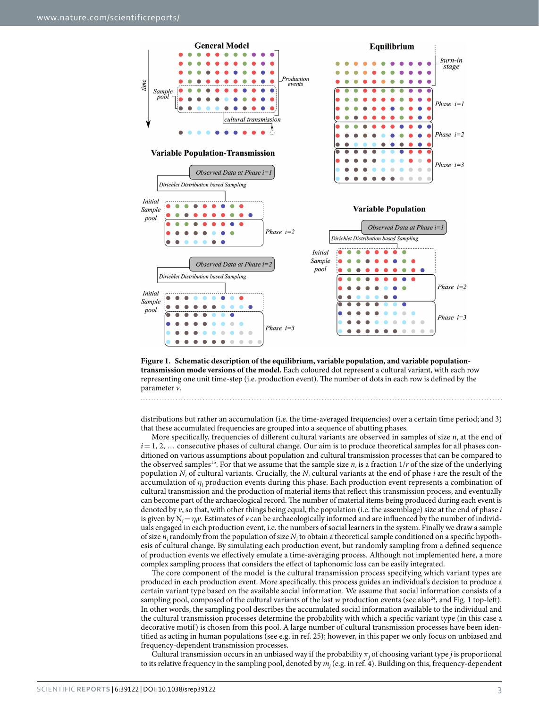

<span id="page-2-0"></span>**Figure 1. Schematic description of the equilibrium, variable population, and variable populationtransmission mode versions of the model.** Each coloured dot represent a cultural variant, with each row representing one unit time-step (i.e. production event). The number of dots in each row is defined by the parameter *v*.

distributions but rather an accumulation (i.e. the time-averaged frequencies) over a certain time period; and 3) that these accumulated frequencies are grouped into a sequence of abutting phases.

More specifically, frequencies of different cultural variants are observed in samples of size  $n_i$  at the end of  $i=1, 2, \ldots$  consecutive phases of cultural change. Our aim is to produce theoretical samples for all phases conditioned on various assumptions about population and cultural transmission processes that can be compared to the observed samples<sup>15</sup>. For that we assume that the sample size  $n_i$  is a fraction  $1/r$  of the size of the underlying population  $N_i$  of cultural variants. Crucially, the  $N_i$  cultural variants at the end of phase *i* are the result of the accumulation of *η<sup>i</sup>* production events during this phase. Each production event represents a combination of cultural transmission and the production of material items that reflect this transmission process, and eventually can become part of the archaeological record. The number of material items being produced during each event is denoted by *v*, so that, with other things being equal, the population (i.e. the assemblage) size at the end of phase *i* is given by  $N_i = \eta_i v$ . Estimates of *v* can be archaeologically informed and are influenced by the number of individuals engaged in each production event, i.e. the numbers of social learners in the system. Finally we draw a sample of size  $n_i$  randomly from the population of size  $N_i$  to obtain a theoretical sample conditioned on a specific hypothesis of cultural change. By simulating each production event, but randomly sampling from a defined sequence of production events we effectively emulate a time-averaging process. Although not implemented here, a more complex sampling process that considers the effect of taphonomic loss can be easily integrated.

The core component of the model is the cultural transmission process specifying which variant types are produced in each production event. More specifically, this process guides an individual's decision to produce a certain variant type based on the available social information. We assume that social information consists of a sampling pool, composed of the cultural variants of the last *w* production events (see also<sup>[24](#page-8-20)</sup>, and [Fig. 1](#page-2-0) top-left). In other words, the sampling pool describes the accumulated social information available to the individual and the cultural transmission processes determine the probability with which a specific variant type (in this case a decorative motif) is chosen from this pool. A large number of cultural transmission processes have been identified as acting in human populations (see e.g. in ref. [25\)](#page-8-21); however, in this paper we only focus on unbiased and frequency-dependent transmission processes.

Cultural transmission occurs in an unbiased way if the probability  $\pi_j$  of choosing variant type *j* is proportional to its relative frequency in the sampling pool, denoted by *mj* (e.g. in ref. [4\)](#page-8-1). Building on this, frequency-dependent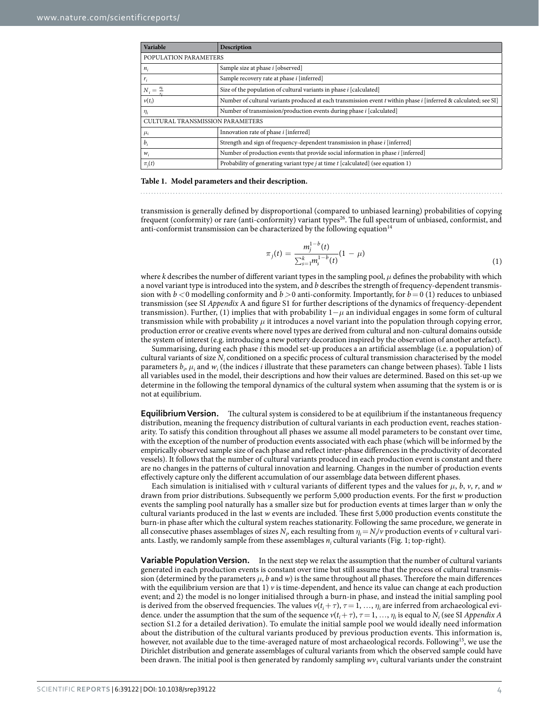<span id="page-3-0"></span>

| Variable                         | Description                                                                                                      |
|----------------------------------|------------------------------------------------------------------------------------------------------------------|
| POPULATION PARAMETERS            |                                                                                                                  |
| $n_i$                            | Sample size at phase <i>i</i> [observed]                                                                         |
| $r_i$                            | Sample recovery rate at phase <i>i</i> [inferred]                                                                |
| $N_i = \frac{n_i}{r_i}$          | Size of the population of cultural variants in phase <i>i</i> [calculated]                                       |
| $\nu(t_i)$                       | Number of cultural variants produced at each transmission event t within phase i [inferred & calculated; see SI] |
| $\eta_i$                         | Number of transmission/production events during phase <i>i</i> [calculated]                                      |
| CULTURAL TRANSMISSION PARAMETERS |                                                                                                                  |
| $\mu_i$                          | Innovation rate of phase i [inferred]                                                                            |
| $b_i$                            | Strength and sign of frequency-dependent transmission in phase i [inferred]                                      |
| $W_i$                            | Number of production events that provide social information in phase <i>i</i> [inferred]                         |
| $\pi_i(t)$                       | Probability of generating variant type $j$ at time $t$ [calculated] (see equation 1)                             |

#### **Table 1. Model parameters and their description.**

transmission is generally defined by disproportional (compared to unbiased learning) probabilities of copying frequent (conformity) or rare (anti-conformity) variant types<sup>[26](#page-8-22)</sup>. The full spectrum of unbiased, conformist, and anti-conformist transmission can be characterized by the following equation  $14$ 

$$
\pi_j(t) = \frac{m_j^{1-b}(t)}{\sum_{s=1}^k m_s^{1-b}(t)} (1 - \mu)
$$
\n(1)

where *k* describes the number of different variant types in the sampling pool, *μ* defines the probability with which a novel variant type is introduced into the system, and *b* describes the strength of frequency-dependent transmission with  $b < 0$  modelling conformity and  $b > 0$  anti-conformity. Importantly, for  $b = 0$  (1) reduces to unbiased transmission (see SI *Appendix* A and figure S1 for further descriptions of the dynamics of frequency-dependent transmission). Further, (1) implies that with probability 1−*μ* an individual engages in some form of cultural transmission while with probability  $\mu$  it introduces a novel variant into the population through copying error, production error or creative events where novel types are derived from cultural and non-cultural domains outside the system of interest (e.g. introducing a new pottery decoration inspired by the observation of another artefact).

Summarising, during each phase *i* this model set-up produces a an artificial assemblage (i.e. a population) of cultural variants of size *N<sub>i</sub>* conditioned on a specific process of cultural transmission characterised by the model parameters  $b_i$ ,  $\mu_i$  and  $w_i$  (the indices *i* illustrate that these parameters can change between phases). [Table 1](#page-3-0) lists all variables used in the model, their descriptions and how their values are determined. Based on this set-up we determine in the following the temporal dynamics of the cultural system when assuming that the system is or is not at equilibrium.

**Equilibrium Version.** The cultural system is considered to be at equilibrium if the instantaneous frequency distribution, meaning the frequency distribution of cultural variants in each production event, reaches stationarity. To satisfy this condition throughout all phases we assume all model parameters to be constant over time, with the exception of the number of production events associated with each phase (which will be informed by the empirically observed sample size of each phase and reflect inter-phase differences in the productivity of decorated vessels). It follows that the number of cultural variants produced in each production event is constant and there are no changes in the patterns of cultural innovation and learning. Changes in the number of production events effectively capture only the different accumulation of our assemblage data between different phases.

Each simulation is initialised with *v* cultural variants of different types and the values for  $\mu$ ,  $b$ ,  $\nu$ ,  $r$ , and  $w$ drawn from prior distributions. Subsequently we perform 5,000 production events. For the first *w* production events the sampling pool naturally has a smaller size but for production events at times larger than *w* only the cultural variants produced in the last *w* events are included. These first 5,000 production events constitute the burn-in phase after which the cultural system reaches stationarity. Following the same procedure, we generate in all consecutive phases assemblages of sizes  $N_i$ , each resulting from  $\eta_i = N_i/v$  production events of *v* cultural variants. Lastly, we randomly sample from these assemblages  $n_i$  cultural variants [\(Fig. 1](#page-2-0); top-right).

**Variable Population Version.** In the next step we relax the assumption that the number of cultural variants generated in each production events is constant over time but still assume that the process of cultural transmission (determined by the parameters *μ*, *b* and *w*) is the same throughout all phases. Therefore the main differences with the equilibrium version are that 1)  $\nu$  is time-dependent, and hence its value can change at each production event; and 2) the model is no longer initialised through a burn-in phase, and instead the initial sampling pool is derived from the observed frequencies. The values  $v(t_i+\tau)$ ,  $\tau=1, ..., \eta_i$  are inferred from archaeological evidence. under the assumption that the sum of the sequence  $v(t_i+\tau)$ ,  $\tau=1$ , ...,  $\eta_i$  is equal to  $N_i$  (see SI *Appendix A* section S1.2 for a detailed derivation). To emulate the initial sample pool we would ideally need information about the distribution of the cultural variants produced by previous production events. This information is, however, not available due to the time-averaged nature of most archaeological records. Following<sup>15</sup>, we use the Dirichlet distribution and generate assemblages of cultural variants from which the observed sample could have been drawn. The initial pool is then generated by randomly sampling  $wv_1$  cultural variants under the constraint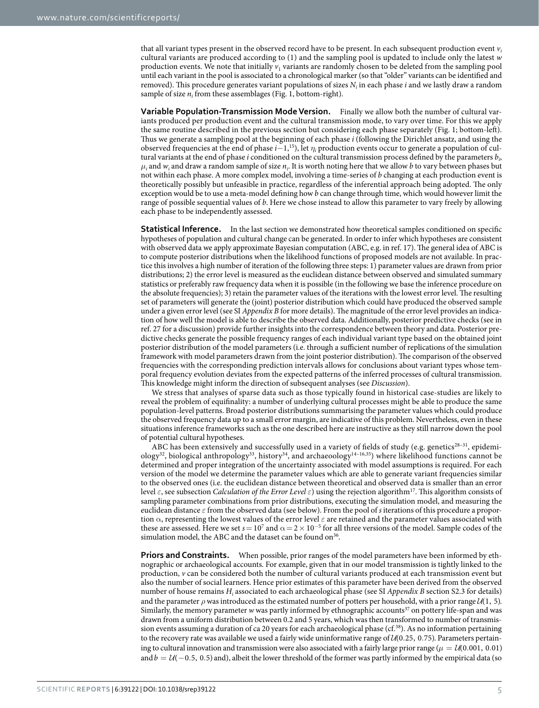that all variant types present in the observed record have to be present. In each subsequent production event  $v_i$ cultural variants are produced according to (1) and the sampling pool is updated to include only the latest *w* production events. We note that initially  $v_1$  variants are randomly chosen to be deleted from the sampling pool until each variant in the pool is associated to a chronological marker (so that "older" variants can be identified and removed). This procedure generates variant populations of sizes *Ni* in each phase *i* and we lastly draw a random sample of size  $n_i$  from these assemblages ([Fig. 1](#page-2-0), bottom-right).

**Variable Population-Transmission Mode Version.** Finally we allow both the number of cultural variants produced per production event and the cultural transmission mode, to vary over time. For this we apply the same routine described in the previous section but considering each phase separately ([Fig. 1;](#page-2-0) bottom-left). Thus we generate a sampling pool at the beginning of each phase *i* (following the Dirichlet ansatz, and using the observed frequencies at the end of phase *i*−1,[15](#page-8-19)), let *η<sup>i</sup>* production events occur to generate a population of cultural variants at the end of phase *i* conditioned on the cultural transmission process defined by the parameters  $b_i$  $\mu_i$  and  $w_i$  and draw a random sample of size  $n_i$ . It is worth noting here that we allow *b* to vary between phases but not within each phase. A more complex model, involving a time-series of *b* changing at each production event is theoretically possibly but unfeasible in practice, regardless of the inferential approach being adopted. The only exception would be to use a meta-model defining how *b* can change through time, which would however limit the range of possible sequential values of *b*. Here we chose instead to allow this parameter to vary freely by allowing each phase to be independently assessed.

**Statistical Inference.** In the last section we demonstrated how theoretical samples conditioned on specific hypotheses of population and cultural change can be generated. In order to infer which hypotheses are consistent with observed data we apply approximate Bayesian computation (ABC, e.g. in ref. [17](#page-8-12)). The general idea of ABC is to compute posterior distributions when the likelihood functions of proposed models are not available. In practice this involves a high number of iteration of the following three steps: 1) parameter values are drawn from prior distributions; 2) the error level is measured as the euclidean distance between observed and simulated summary statistics or preferably raw frequency data when it is possible (in the following we base the inference procedure on the absolute frequencies); 3) retain the parameter values of the iterations with the lowest error level. The resulting set of parameters will generate the (joint) posterior distribution which could have produced the observed sample under a given error level (see SI *Appendix B* for more details). The magnitude of the error level provides an indication of how well the model is able to describe the observed data. Additionally, posterior predictive checks (see in ref. [27](#page-8-23) for a discussion) provide further insights into the correspondence between theory and data. Posterior predictive checks generate the possible frequency ranges of each individual variant type based on the obtained joint posterior distribution of the model parameters (i.e. through a sufficient number of replications of the simulation framework with model parameters drawn from the joint posterior distribution). The comparison of the observed frequencies with the corresponding prediction intervals allows for conclusions about variant types whose temporal frequency evolution deviates from the expected patterns of the inferred processes of cultural transmission. This knowledge might inform the direction of subsequent analyses (see *Discussion*).

We stress that analyses of sparse data such as those typically found in historical case-studies are likely to reveal the problem of equifinality: a number of underlying cultural processes might be able to produce the same population-level patterns. Broad posterior distributions summarising the parameter values which could produce the observed frequency data up to a small error margin, are indicative of this problem. Nevertheless, even in these situations inference frameworks such as the one described here are instructive as they still narrow down the pool of potential cultural hypotheses.

ABC has been extensively and successfully used in a variety of fields of study (e.g. genetics<sup>28-31</sup>, epidemi-ology<sup>32</sup>, biological anthropology<sup>33</sup>, history<sup>34</sup>, and archaeoology<sup>14-16[,35](#page-8-28)</sup>) where likelihood functions cannot be determined and proper integration of the uncertainty associated with model assumptions is required. For each version of the model we determine the parameter values which are able to generate variant frequencies similar to the observed ones (i.e. the euclidean distance between theoretical and observed data is smaller than an error level *ε*, see subsection *Calculation of the Error Level ε*) using the rejection algorith[m17.](#page-8-12) This algorithm consists of sampling parameter combinations from prior distributions, executing the simulation model, and measuring the euclidean distance *ε* from the observed data (see below). From the pool of *s* iterations of this procedure a proportion α, representing the lowest values of the error level *ε* are retained and the parameter values associated with these are assessed. Here we set  $s = 10^7$  and  $\alpha = 2 \times 10^{-5}$  for all three versions of the model. Sample codes of the simulation model, the ABC and the dataset can be found on<sup>36</sup>.

**Priors and Constraints.** When possible, prior ranges of the model parameters have been informed by ethnographic or archaeological accounts. For example, given that in our model transmission is tightly linked to the production, *v* can be considered both the number of cultural variants produced at each transmission event but also the number of social learners. Hence prior estimates of this parameter have been derived from the observed number of house remains  $H_i$  associated to each archaeological phase (see SI *Appendix B* section S2.3 for details) and the parameter  $\rho$  was introduced as the estimated number of potters per household, with a prior range  $U(1, 5)$ . Similarly, the memory parameter *w* was partly informed by ethnographic accounts<sup>37</sup> on pottery life-span and was drawn from a uniform distribution between 0.2 and 5 years, which was then transformed to number of transmission events assuming a duration of ca 20 years for each archaeological phase (cf.<sup>38</sup>). As no information pertaining to the recovery rate was available we used a fairly wide uninformative range of  $U(0.25, 0.75)$ . Parameters pertaining to cultural innovation and transmission were also associated with a fairly large prior range ( $\mu = \mathcal{U}(0.001, 0.01)$ ) and  $b = \mathcal{U}(-0.5, 0.5)$  and), albeit the lower threshold of the former was partly informed by the empirical data (so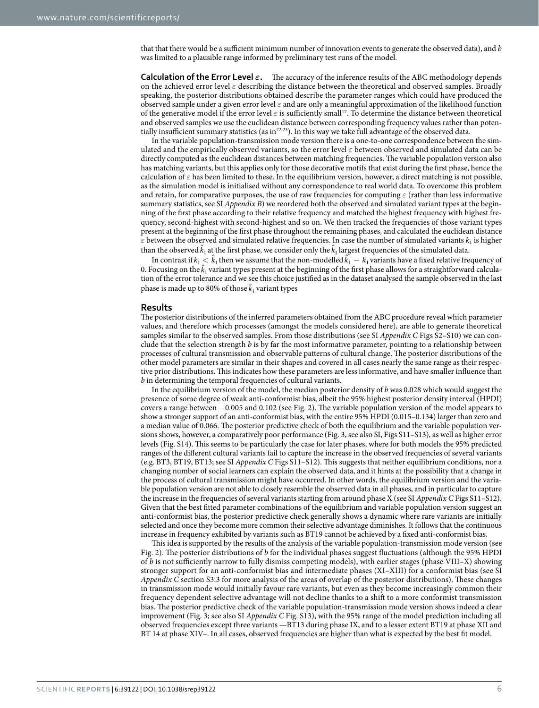that that there would be a sufficient minimum number of innovation events to generate the observed data), and *b* was limited to a plausible range informed by preliminary test runs of the model.

**Calculation of the Error Level** *ε***.** The accuracy of the inference results of the ABC methodology depends on the achieved error level *ε* describing the distance between the theoretical and observed samples. Broadly speaking, the posterior distributions obtained describe the parameter ranges which could have produced the observed sample under a given error level *ε* and are only a meaningful approximation of the likelihood function of the generative model if the error level *ε* is sufficiently small[17](#page-8-12). To determine the distance between theoretical and observed samples we use the euclidean distance between corresponding frequency values rather than potentially insufficient summary statistics (as i[n22](#page-8-17)[,23\)](#page-8-18). In this way we take full advantage of the observed data.

In the variable population-transmission mode version there is a one-to-one correspondence between the simulated and the empirically observed variants, so the error level *ε* between observed and simulated data can be directly computed as the euclidean distances between matching frequencies. The variable population version also has matching variants, but this applies only for those decorative motifs that exist during the first phase, hence the calculation of  $\varepsilon$  has been limited to these. In the equilibrium version, however, a direct matching is not possible, as the simulation model is initialised without any correspondence to real world data. To overcome this problem and retain, for comparative purposes, the use of raw frequencies for computing *ε* (rather than less informative summary statistics, see SI *Appendix B*) we reordered both the observed and simulated variant types at the beginning of the first phase according to their relative frequency and matched the highest frequency with highest frequency, second-highest with second-highest and so on. We then tracked the frequencies of those variant types present at the beginning of the first phase throughout the remaining phases, and calculated the euclidean distance  $\varepsilon$  between the observed and simulated relative frequencies. In case the number of simulated variants  $k_1$  is higher than the observed  $\hat{k}_1$  at the first phase, we consider only the  $\hat{k}_1$  largest frequencies of the simulated data.

In contrast if  $k_1 < \hat{k}_1$  then we assume that the non-modelled  $\hat{k}_1 - k_1$  variants have a fixed relative frequency of 0. Focusing on the  $\hat{k}_1$  variant types present at the beginning of the first phase allows for a straightforward calculation of the error tolerance and we see this choice justified as in the dataset analysed the sample observed in the last phase is made up to 80% of those  $\overline{k}_1$  variant types

#### **Results**

The posterior distributions of the inferred parameters obtained from the ABC procedure reveal which parameter values, and therefore which processes (amongst the models considered here), are able to generate theoretical samples similar to the observed samples. From those distributions (see SI *Appendix C* Figs S2–S10) we can conclude that the selection strength *b* is by far the most informative parameter, pointing to a relationship between processes of cultural transmission and observable patterns of cultural change. The posterior distributions of the other model parameters are similar in their shapes and covered in all cases nearly the same range as their respective prior distributions. This indicates how these parameters are less informative, and have smaller influence than *b* in determining the temporal frequencies of cultural variants.

In the equilibrium version of the model, the median posterior density of *b* was 0.028 which would suggest the presence of some degree of weak anti-conformist bias, albeit the 95% highest posterior density interval (HPDI) covers a range between −0.005 and 0.102 (see [Fig. 2\)](#page-6-0). The variable population version of the model appears to show a stronger support of an anti-conformist bias, with the entire 95% HPDI (0.015–0.134) larger than zero and a median value of 0.066. The posterior predictive check of both the equilibrium and the variable population versions shows, however, a comparatively poor performance ([Fig. 3](#page-7-0), see also SI, Figs S11–S13), as well as higher error levels (Fig. S14). This seems to be particularly the case for later phases, where for both models the 95% predicted ranges of the different cultural variants fail to capture the increase in the observed frequencies of several variants (e.g. BT3, BT19, BT13; see SI *Appendix C* Figs S11–S12). This suggests that neither equilibrium conditions, nor a changing number of social learners can explain the observed data, and it hints at the possibility that a change in the process of cultural transmission might have occurred. In other words, the equilibrium version and the variable population version are not able to closely resemble the observed data in all phases, and in particular to capture the increase in the frequencies of several variants starting from around phase X (see SI *Appendix C* Figs S11–S12). Given that the best fitted parameter combinations of the equilibrium and variable population version suggest an anti-conformist bias, the posterior predictive check generally shows a dynamic where rare variants are initially selected and once they become more common their selective advantage diminishes. It follows that the continuous increase in frequency exhibited by variants such as BT19 cannot be achieved by a fixed anti-conformist bias.

This idea is supported by the results of the analysis of the variable population-transmission mode version (see [Fig. 2\)](#page-6-0). The posterior distributions of *b* for the individual phases suggest fluctuations (although the 95% HPDI of *b* is not sufficiently narrow to fully dismiss competing models), with earlier stages (phase VIII–X) showing stronger support for an anti-conformist bias and intermediate phases (XI–XIII) for a conformist bias (see SI *Appendix C* section S3.3 for more analysis of the areas of overlap of the posterior distributions). These changes in transmission mode would initially favour rare variants, but even as they become increasingly common their frequency dependent selective advantage will not decline thanks to a shift to a more conformist transmission bias. The posterior predictive check of the variable population-transmission mode version shows indeed a clear improvement [\(Fig. 3](#page-7-0); see also SI *Appendix C* Fig. S13), with the 95% range of the model prediction including all observed frequencies except three variants —BT13 during phase IX, and to a lesser extent BT19 at phase XII and BT 14 at phase XIV–. In all cases, observed frequencies are higher than what is expected by the best fit model.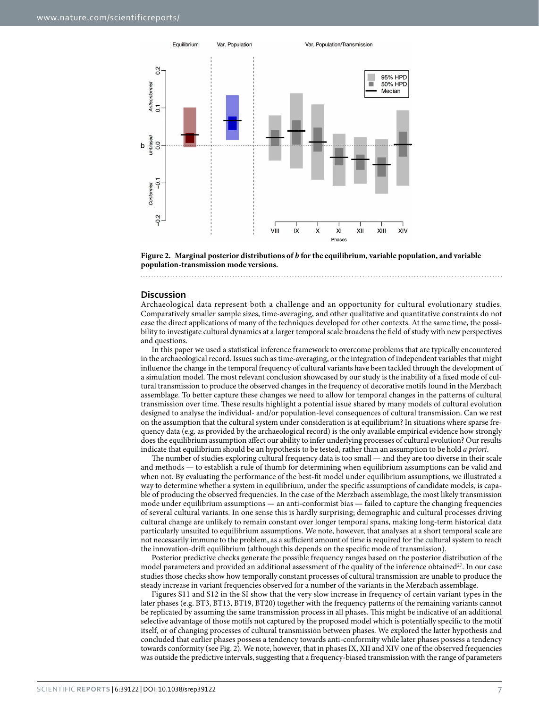

<span id="page-6-0"></span>**Figure 2. Marginal posterior distributions of** *b* **for the equilibrium, variable population, and variable population-transmission mode versions.** 

#### **Discussion**

Archaeological data represent both a challenge and an opportunity for cultural evolutionary studies. Comparatively smaller sample sizes, time-averaging, and other qualitative and quantitative constraints do not ease the direct applications of many of the techniques developed for other contexts. At the same time, the possibility to investigate cultural dynamics at a larger temporal scale broadens the field of study with new perspectives and questions.

In this paper we used a statistical inference framework to overcome problems that are typically encountered in the archaeological record. Issues such as time-averaging, or the integration of independent variables that might influence the change in the temporal frequency of cultural variants have been tackled through the development of a simulation model. The most relevant conclusion showcased by our study is the inability of a fixed mode of cultural transmission to produce the observed changes in the frequency of decorative motifs found in the Merzbach assemblage. To better capture these changes we need to allow for temporal changes in the patterns of cultural transmission over time. These results highlight a potential issue shared by many models of cultural evolution designed to analyse the individual- and/or population-level consequences of cultural transmission. Can we rest on the assumption that the cultural system under consideration is at equilibrium? In situations where sparse frequency data (e.g. as provided by the archaeological record) is the only available empirical evidence how strongly does the equilibrium assumption affect our ability to infer underlying processes of cultural evolution? Our results indicate that equilibrium should be an hypothesis to be tested, rather than an assumption to be hold *a priori*.

The number of studies exploring cultural frequency data is too small — and they are too diverse in their scale and methods — to establish a rule of thumb for determining when equilibrium assumptions can be valid and when not. By evaluating the performance of the best-fit model under equilibrium assumptions, we illustrated a way to determine whether a system in equilibrium, under the specific assumptions of candidate models, is capable of producing the observed frequencies. In the case of the Merzbach assemblage, the most likely transmission mode under equilibrium assumptions — an anti-conformist bias — failed to capture the changing frequencies of several cultural variants. In one sense this is hardly surprising; demographic and cultural processes driving cultural change are unlikely to remain constant over longer temporal spans, making long-term historical data particularly unsuited to equilibrium assumptions. We note, however, that analyses at a short temporal scale are not necessarily immune to the problem, as a sufficient amount of time is required for the cultural system to reach the innovation-drift equilibrium (although this depends on the specific mode of transmission).

Posterior predictive checks generate the possible frequency ranges based on the posterior distribution of the model parameters and provided an additional assessment of the quality of the inference obtained<sup>27</sup>. In our case studies those checks show how temporally constant processes of cultural transmission are unable to produce the steady increase in variant frequencies observed for a number of the variants in the Merzbach assemblage.

Figures S11 and S12 in the SI show that the very slow increase in frequency of certain variant types in the later phases (e.g. BT3, BT13, BT19, BT20) together with the frequency patterns of the remaining variants cannot be replicated by assuming the same transmission process in all phases. This might be indicative of an additional selective advantage of those motifs not captured by the proposed model which is potentially specific to the motif itself, or of changing processes of cultural transmission between phases. We explored the latter hypothesis and concluded that earlier phases possess a tendency towards anti-conformity while later phases possess a tendency towards conformity (see [Fig. 2](#page-6-0)). We note, however, that in phases IX, XII and XIV one of the observed frequencies was outside the predictive intervals, suggesting that a frequency-biased transmission with the range of parameters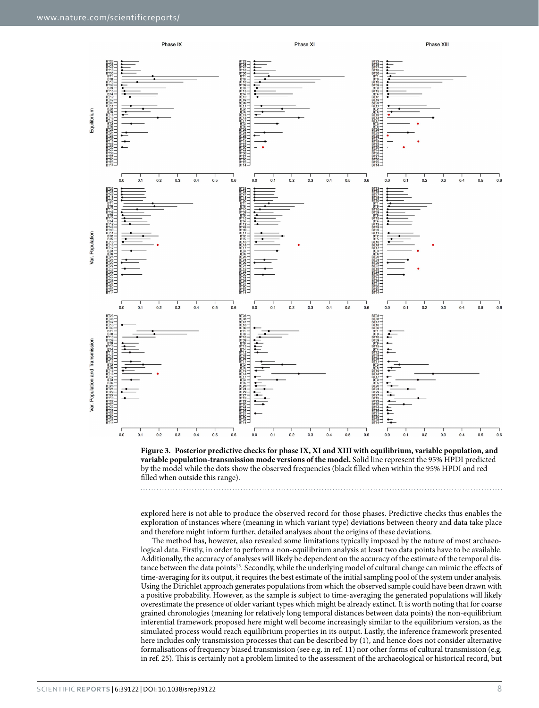

<span id="page-7-0"></span>

explored here is not able to produce the observed record for those phases. Predictive checks thus enables the exploration of instances where (meaning in which variant type) deviations between theory and data take place and therefore might inform further, detailed analyses about the origins of these deviations.

The method has, however, also revealed some limitations typically imposed by the nature of most archaeological data. Firstly, in order to perform a non-equilibrium analysis at least two data points have to be available. Additionally, the accuracy of analyses will likely be dependent on the accuracy of the estimate of the temporal distance between the data points[13](#page-8-10). Secondly, while the underlying model of cultural change can mimic the effects of time-averaging for its output, it requires the best estimate of the initial sampling pool of the system under analysis. Using the Dirichlet approach generates populations from which the observed sample could have been drawn with a positive probability. However, as the sample is subject to time-averaging the generated populations will likely overestimate the presence of older variant types which might be already extinct. It is worth noting that for coarse grained chronologies (meaning for relatively long temporal distances between data points) the non-equilibrium inferential framework proposed here might well become increasingly similar to the equilibrium version, as the simulated process would reach equilibrium properties in its output. Lastly, the inference framework presented here includes only transmission processes that can be described by (1), and hence does not consider alternative formalisations of frequency biased transmission (see e.g. in ref. [11](#page-8-8)) nor other forms of cultural transmission (e.g. in ref. [25\)](#page-8-21). This is certainly not a problem limited to the assessment of the archaeological or historical record, but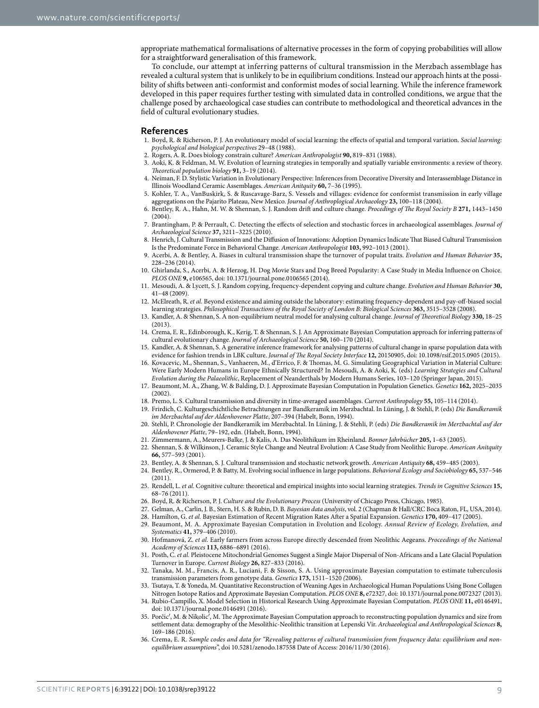appropriate mathematical formalisations of alternative processes in the form of copying probabilities will allow for a straightforward generalisation of this framework.

To conclude, our attempt at inferring patterns of cultural transmission in the Merzbach assemblage has revealed a cultural system that is unlikely to be in equilibrium conditions. Instead our approach hints at the possibility of shifts between anti-conformist and conformist modes of social learning. While the inference framework developed in this paper requires further testing with simulated data in controlled conditions, we argue that the challenge posed by archaeological case studies can contribute to methodological and theoretical advances in the field of cultural evolutionary studies.

#### **References**

- <span id="page-8-0"></span>1. Boyd, R. & Richerson, P. J. An evolutionary model of social learning: the effects of spatial and temporal variation. *Social learning: psychological and biological perspectives* 29–48 (1988).
- 2. Rogers, A. R. Does biology constrain culture? *American Anthropologist* **90,** 819–831 (1988).
- 3. Aoki, K. & Feldman, M. W. Evolution of learning strategies in temporally and spatially variable environments: a review of theory. *Theoretical population biology* **91,** 3–19 (2014).
- <span id="page-8-1"></span>4. Neiman, F. D. Stylistic Variation in Evolutionary Perspective: Inferences from Decorative Diversity and Interassemblage Distance in Illinois Woodland Ceramic Assemblages. *American Anitquity* **60,** 7–36 (1995).
- <span id="page-8-2"></span>5. Kohler, T. A., VanBuskirk, S. & Ruscavage-Barz, S. Vessels and villages: evidence for conformist transmission in early village aggregations on the Pajarito Plateau, New Mexico. *Journal of Anthroplogical Archaeology* **23,** 100–118 (2004).
- <span id="page-8-3"></span>6. Bentley, R. A., Hahn, M. W. & Shennan, S. J. Random drift and culture change. *Procedings of The Royal Society B* **271,** 1443–1450 (2004).
- <span id="page-8-4"></span>7. Brantingham, P. & Perrault, C. Detecting the effects of selection and stochastic forces in archaeological assemblages. *Journal of Archaeological Science* **37,** 3211–3225 (2010).
- <span id="page-8-5"></span>8. Henrich, J. Cultural Transmission and the Diffusion of Innovations: Adoption Dynamics Indicate That Biased Cultural Transmission Is the Predominate Force in Behavioral Change. *American Anthropologist* **103,** 992–1013 (2001).
- <span id="page-8-6"></span>9. Acerbi, A. & Bentley, A. Biases in cultural transmission shape the turnover of populat traits. *Evolution and Human Behavior* **35,** 228–236 (2014).
- <span id="page-8-7"></span>10. Ghirlanda, S., Acerbi, A. & Herzog, H. Dog Movie Stars and Dog Breed Popularity: A Case Study in Media Influence on Choice. *PLOS ONE* **9,** e106565, doi: 10.1371/journal.pone.0106565 (2014).
- <span id="page-8-8"></span>11. Mesoudi, A. & Lycett, S. J. Random copying, frequency-dependent copying and culture change. *Evolution and Human Behavior* **30,** 41–48 (2009).
- <span id="page-8-9"></span>12. McElreath, R. *et al.* Beyond existence and aiming outside the laboratory: estimating frequency-dependent and pay-off-biased social learning strategies. *Philosophical Transactions of the Royal Society of London B: Biological Sciences* **363,** 3515–3528 (2008).
- <span id="page-8-10"></span>13. Kandler, A. & Shennan, S. A non-equilibrium neutral model for analysing cultural change. *Journal of Theoretical Biology* **330,** 18–25 (2013).
- <span id="page-8-11"></span>14. Crema, E. R., Edinborough, K., Kerig, T. & Shennan, S. J. An Approximate Bayesian Computation approach for inferring patterns of cultural evolutionary change. *Journal of Archaeological Science* **50,** 160–170 (2014).
- <span id="page-8-19"></span>15. Kandler, A. & Shennan, S. A generative inference framework for analysing patterns of cultural change in sparse population data with evidence for fashion trends in LBK culture. *Journal of The Royal Society Interface* **12,** 20150905, doi: 10.1098/rsif.2015.0905 (2015).
- 16. Kovacevic, M., Shennan, S., Vanhaeren, M., d'Errico, F. & Thomas, M. G. Simulating Geographical Variation in Material Culture: Were Early Modern Humans in Europe Ethnically Structured? In Mesoudi, A. & Aoki, K. (eds) *Learning Strategies and Cultural Evolution during the Palaeolithic*, Replacement of Neanderthals by Modern Humans Series, 103–120 (Springer Japan, 2015).
- <span id="page-8-12"></span>17. Beaumont, M. A., Zhang, W. & Balding, D. J. Approximate Bayesian Computation in Population Genetics. *Genetics* **162,** 2025–2035 (2002).
- <span id="page-8-13"></span>18. Premo, L. S. Cultural transmission and diversity in time-averaged assemblages. *Current Anthropology* **55,** 105–114 (2014).
- <span id="page-8-14"></span>19. Frirdich, C. Kulturgeschichtliche Betrachtungen zur Bandkeramik im Merzbachtal. In Lüning, J. & Stehli, P. (eds) *Die Bandkeramik im Merzbachtal auf der Aldenhovener Platte*, 207–394 (Habelt, Bonn, 1994).
- <span id="page-8-15"></span>20. Stehli, P. Chronologie der Bandkeramik im Merzbachtal. In Lüning, J. & Stehli, P. (eds) *Die Bandkeramik im Merzbachtal auf der Aldenhovener Platte*, 79–192, edn. (Habelt, Bonn, 1994).
- <span id="page-8-16"></span>21. Zimmermann, A., Meurers-Balke, J. & Kalis, A. Das Neolithikum im Rheinland. *Bonner Jahrbücher* **205,** 1–63 (2005).
- <span id="page-8-17"></span>22. Shennan, S. & Wilkinson, J. Ceramic Style Change and Neutral Evolution: A Case Study from Neolithic Europe. *American Anitquity* **66,** 577–593 (2001).
- <span id="page-8-20"></span><span id="page-8-18"></span>23. Bentley, A. & Shennan, S. J. Cultural transmission and stochastic network growth. *American Antiquity* **68,** 459–485 (2003).
- 24. Bentley, R., Ormerod, P. & Batty, M. Evolving social influence in large populations. *Behavioral Ecology and Sociobiology* **65,** 537–546 (2011).
- <span id="page-8-21"></span>25. Rendell, L. *et al.* Cognitive culture: theoretical and empirical insights into social learning strategies. *Trends in Cognitive Sciences* **15,** 68–76 (2011).
- <span id="page-8-22"></span>26. Boyd, R. & Richerson, P. J. *Culture and the Evolutionary Process* (University of Chicago Press, Chicago, 1985).
- <span id="page-8-23"></span>27. Gelman, A., Carlin, J. B., Stern, H. S. & Rubin, D. B. *Bayesian data analysis*, vol. 2 (Chapman & Hall/CRC Boca Raton, FL, USA, 2014).
- <span id="page-8-24"></span>28. Hamilton, G. *et al.* Bayesian Estimation of Recent Migration Rates After a Spatial Expansion. *Genetics* **170,** 409–417 (2005).
- 29. Beaumont, M. A. Approximate Bayesian Computation in Evolution and Ecology. *Annual Review of Ecology, Evolution, and Systematics* **41,** 379–406 (2010).
- 30. Hofmanová, Z. *et al.* Early farmers from across Europe directly descended from Neolithic Aegeans. *Proceedings of the National Academy of Sciences* **113,** 6886–6891 (2016).
- 31. Posth, C. *et al.* Pleistocene Mitochondrial Genomes Suggest a Single Major Dispersal of Non-Africans and a Late Glacial Population Turnover in Europe. *Current Biology* **26,** 827–833 (2016).
- <span id="page-8-25"></span>32. Tanaka, M. M., Francis, A. R., Luciani, F. & Sisson, S. A. Using approximate Bayesian computation to estimate tuberculosis transmission parameters from genotype data. *Genetics* **173,** 1511–1520 *(*2006).
- <span id="page-8-26"></span>33. Tsutaya, T. & Yoneda, M. Quantitative Reconstruction of Weaning Ages in Archaeological Human Populations Using Bone Collagen Nitrogen Isotope Ratios and Approximate Bayesian Computation. *PLOS ONE* **8,** e72327, doi: 10.1371/journal.pone.0072327 (2013).
- <span id="page-8-27"></span>34. Rubio-Campillo, X. Model Selection in Historical Research Using Approximate Bayesian Computation. *PLOS ONE* **11,** e0146491, doi: 10.1371/journal.pone.0146491 (2016).
- <span id="page-8-28"></span>35. Porčic′, M. & Nikolic′, M. The Approximate Bayesian Computation approach to reconstructing population dynamics and size from settlement data: demography of the Mesolithic-Neolithic transition at Lepenski Vir. *Archaeological and Anthropological Sciences* **8,** 169–186 (2016).
- <span id="page-8-29"></span>36. Crema, E. R. *Sample codes and data for "Revealing patterns of cultural transmission from frequency data: equilibrium and nonequilibrium assumptions*", [doi 10.5281/zenodo.187558 Date of Access: 2016/11/30](URL https://github.com/ercrema/culturaltransmissionmodel) (2016).